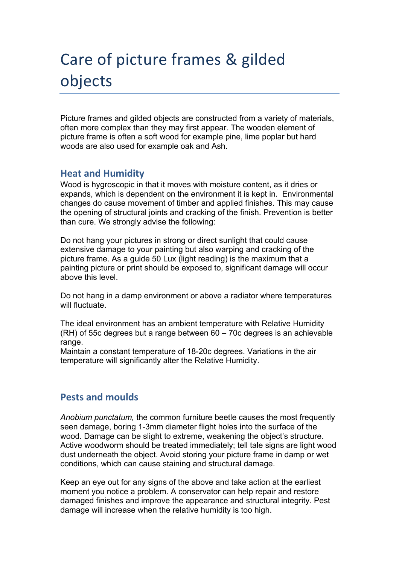# Care of picture frames & gilded objects

Picture frames and gilded objects are constructed from a variety of materials, often more complex than they may first appear. The wooden element of picture frame is often a soft wood for example pine, lime poplar but hard woods are also used for example oak and Ash.

## **Heat and Humidity**

Wood is hygroscopic in that it moves with moisture content, as it dries or expands, which is dependent on the environment it is kept in. Environmental changes do cause movement of timber and applied finishes. This may cause the opening of structural joints and cracking of the finish. Prevention is better than cure. We strongly advise the following:

Do not hang your pictures in strong or direct sunlight that could cause extensive damage to your painting but also warping and cracking of the picture frame. As a guide 50 Lux (light reading) is the maximum that a painting picture or print should be exposed to, significant damage will occur above this level.

Do not hang in a damp environment or above a radiator where temperatures will fluctuate.

The ideal environment has an ambient temperature with Relative Humidity (RH) of 55c degrees but a range between 60 – 70c degrees is an achievable range.

Maintain a constant temperature of 18-20c degrees. Variations in the air temperature will significantly alter the Relative Humidity.

# **Pests and moulds**

*Anobium punctatum,* the common furniture beetle causes the most frequently seen damage, boring 1-3mm diameter flight holes into the surface of the wood. Damage can be slight to extreme, weakening the object's structure. Active woodworm should be treated immediately; tell tale signs are light wood dust underneath the object. Avoid storing your picture frame in damp or wet conditions, which can cause staining and structural damage.

Keep an eye out for any signs of the above and take action at the earliest moment you notice a problem. A conservator can help repair and restore damaged finishes and improve the appearance and structural integrity. Pest damage will increase when the relative humidity is too high.